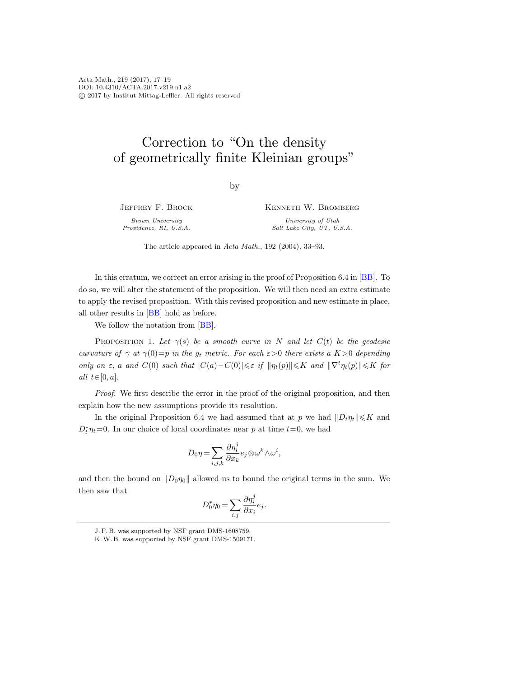Acta Math., 219 (2017), 17–19 DOI: 10.4310/ACTA.2017.v219.n1.a2 c 2017 by Institut Mittag-Leffler. All rights reserved

## Correction to "On the density of geometrically finite Kleinian groups"

by

Jeffrey F. Brock Brown University

Providence, RI, U.S.A.

Kenneth W. Bromberg University of Utah Salt Lake City, UT, U.S.A.

The article appeared in Acta Math., 192 (2004), 33–93.

In this erratum, we correct an error arising in the proof of Proposition 6.4 in [\[BB\]](#page-2-0). To do so, we will alter the statement of the proposition. We will then need an extra estimate to apply the revised proposition. With this revised proposition and new estimate in place, all other results in [\[BB\]](#page-2-0) hold as before.

We follow the notation from [\[BB\]](#page-2-0).

PROPOSITION 1. Let  $\gamma(s)$  be a smooth curve in N and let  $C(t)$  be the geodesic curvature of  $\gamma$  at  $\gamma(0)=p$  in the  $g_t$  metric. For each  $\varepsilon>0$  there exists a  $K>0$  depending only on  $\varepsilon$ , a and  $C(0)$  such that  $|C(a)-C(0)| \leq \varepsilon$  if  $\|\eta_t(p)\| \leq K$  and  $\|\nabla^t \eta_t(p)\| \leq K$  for *all*  $t \in [0, a]$ .

Proof. We first describe the error in the proof of the original proposition, and then explain how the new assumptions provide its resolution.

In the original Proposition 6.4 we had assumed that at p we had  $||D_t\eta_t|| \leq K$  and  $D_t^* \eta_t = 0$ . In our choice of local coordinates near p at time  $t=0$ , we had

$$
D_0 \eta = \sum_{i,j,k} \frac{\partial \eta_i^j}{\partial x_k} e_j \otimes \omega^k \wedge \omega^i,
$$

and then the bound on  $||D_0\eta_0||$  allowed us to bound the original terms in the sum. We then saw that

$$
D_0^*\eta_0 = \sum_{i,j} \frac{\partial \eta_i^j}{\partial x_i} e_j.
$$

J. F. B. was supported by NSF grant DMS-1608759.

K.W. B. was supported by NSF grant DMS-1509171.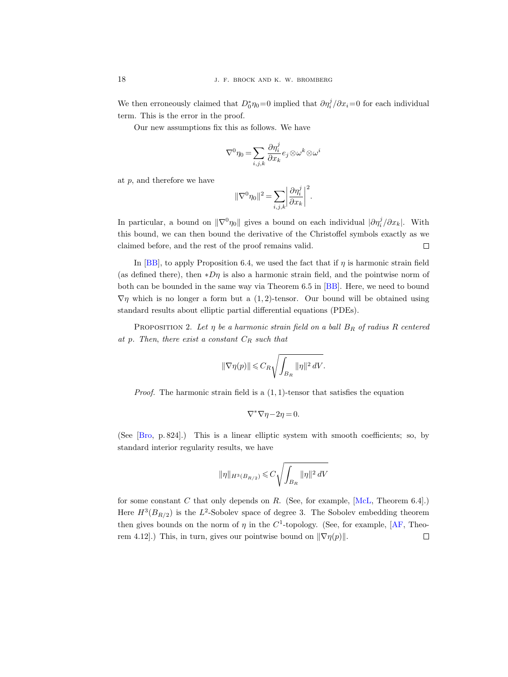We then erroneously claimed that  $D_0^* \eta_0 = 0$  implied that  $\partial \eta_i^j / \partial x_i = 0$  for each individual term. This is the error in the proof.

Our new assumptions fix this as follows. We have

$$
\nabla^0\eta_0=\sum_{i,j,k}\frac{\partial\eta_i^j}{\partial x_k}e_j\mathop{\otimes} \omega^k\mathop{\otimes} \omega^i
$$

at  $p$ , and therefore we have

$$
\|\nabla^0\eta_0\|^2=\sum_{i,j,k}\biggl|\frac{\partial\eta_i^j}{\partial x_k}\biggr|^2.
$$

In particular, a bound on  $\|\nabla^0\eta_0\|$  gives a bound on each individual  $|\partial \eta_i^j/\partial x_k|$ . With this bound, we can then bound the derivative of the Christoffel symbols exactly as we  $\Box$ claimed before, and the rest of the proof remains valid.

In [\[BB\]](#page-2-0), to apply Proposition 6.4, we used the fact that if  $\eta$  is harmonic strain field (as defined there), then  $*D\eta$  is also a harmonic strain field, and the pointwise norm of both can be bounded in the same way via Theorem 6.5 in [\[BB\]](#page-2-0). Here, we need to bound  $\nabla \eta$  which is no longer a form but a (1,2)-tensor. Our bound will be obtained using standard results about elliptic partial differential equations (PDEs).

PROPOSITION 2. Let  $\eta$  be a harmonic strain field on a ball  $B_R$  of radius R centered at p. Then, there exist a constant  $C_R$  such that

$$
\|\nabla \eta(p)\| \leqslant C_R \sqrt{\int_{B_R} \|\eta\|^2\, dV}.
$$

*Proof.* The harmonic strain field is a  $(1, 1)$ -tensor that satisfies the equation

$$
\nabla^* \nabla \eta - 2\eta = 0.
$$

(See [\[Bro,](#page-2-1) p. 824].) This is a linear elliptic system with smooth coefficients; so, by standard interior regularity results, we have

$$
\|\eta\|_{H^3(B_{R/2})} \leqslant C \sqrt{\int_{B_R} \|\eta\|^2\,dV}
$$

for some constant  $C$  that only depends on  $R$ . (See, for example,  $[McL, Theorem 6.4].$  $[McL, Theorem 6.4].$ ) Here  $H^3(B_{R/2})$  is the  $L^2$ -Sobolev space of degree 3. The Sobolev embedding theorem then gives bounds on the norm of  $\eta$  in the C<sup>1</sup>-topology. (See, for example,  $[AF, Theo [AF, Theo$ rem 4.12].) This, in turn, gives our pointwise bound on  $\|\nabla \eta(p)\|$ .  $\Box$